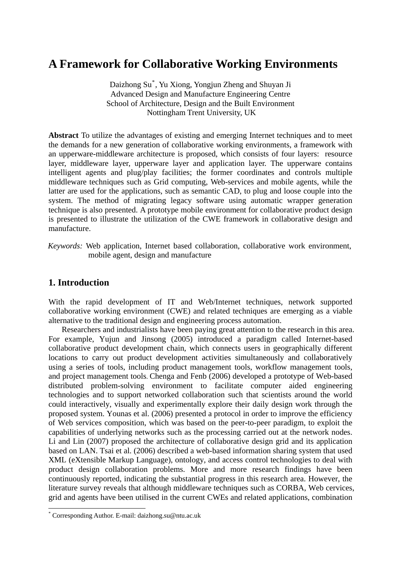# **A Framework for Collaborative Working Environments**

Daizhong Su[\\*](#page-0-0) , Yu Xiong, Yongjun Zheng and Shuyan Ji Advanced Design and Manufacture Engineering Centre School of Architecture, Design and the Built Environment Nottingham Trent University, UK

**Abstract** To utilize the advantages of existing and emerging Internet techniques and to meet the demands for a new generation of collaborative working environments, a framework with an upperware-middleware architecture is proposed, which consists of four layers: resource layer, middleware layer, upperware layer and application layer. The upperware contains intelligent agents and plug/play facilities; the former coordinates and controls multiple middleware techniques such as Grid computing, Web-services and mobile agents, while the latter are used for the applications, such as semantic CAD, to plug and loose couple into the system. The method of migrating legacy software using automatic wrapper generation technique is also presented. A prototype mobile environment for collaborative product design is presented to illustrate the utilization of the CWE framework in collaborative design and manufacture.

*Keywords:* Web application, Internet based collaboration, collaborative work environment, mobile agent, design and manufacture

## **1. Introduction**

-

With the rapid development of IT and Web/Internet techniques, network supported collaborative working environment (CWE) and related techniques are emerging as a viable alternative to the traditional design and engineering process automation.

Researchers and industrialists have been paying great attention to the research in this area. For example, Yujun and Jinsong (2005) introduced a paradigm called Internet-based collaborative product development chain, which connects users in geographically different locations to carry out product development activities simultaneously and collaboratively using a series of tools, including product management tools, workflow management tools, and project management tools. Chenga and Fenb (2006) developed a prototype of Web-based distributed problem-solving environment to facilitate computer aided engineering technologies and to support networked collaboration such that scientists around the world could interactively, visually and experimentally explore their daily design work through the proposed system. Younas et al. (2006) presented a protocol in order to improve the efficiency of Web services composition, which was based on the peer-to-peer paradigm, to exploit the capabilities of underlying networks such as the processing carried out at the network nodes. Li and Lin (2007) proposed the architecture of collaborative design grid and its application based on LAN. Tsai et al. (2006) described a web-based information sharing system that used XML (eXtensible Markup Language), ontology, and access control technologies to deal with product design collaboration problems. More and more research findings have been continuously reported, indicating the substantial progress in this research area. However, the literature survey reveals that although middleware techniques such as CORBA, Web cervices, grid and agents have been utilised in the current CWEs and related applications, combination

<span id="page-0-0"></span><sup>\*</sup> Corresponding Author. E-mail: daizhong.su@ntu.ac.uk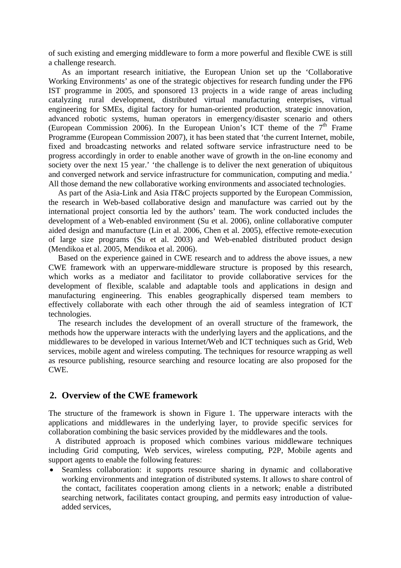of such existing and emerging middleware to form a more powerful and flexible CWE is still a challenge research.

As an important research initiative, the European Union set up the 'Collaborative Working Environments' as one of the strategic objectives for research funding under the FP6 IST programme in 2005, and sponsored 13 projects in a wide range of areas including catalyzing rural development, distributed virtual manufacturing enterprises, virtual engineering for SMEs, digital factory for human-oriented production, strategic innovation, advanced robotic systems, human operators in emergency/disaster scenario and others (European Commission 2006). In the European Union's ICT theme of the  $7<sup>th</sup>$  Frame Programme (European Commission 2007), it has been stated that 'the current Internet, mobile, fixed and broadcasting networks and related software service infrastructure need to be progress accordingly in order to enable another wave of growth in the on-line economy and society over the next 15 year.' 'the challenge is to deliver the next generation of ubiquitous and converged network and service infrastructure for communication, computing and media.' All those demand the new collaborative working environments and associated technologies.

As part of the Asia-Link and Asia IT&C projects supported by the European Commission, the research in Web-based collaborative design and manufacture was carried out by the international project consortia led by the authors' team. The work conducted includes the development of a Web-enabled environment (Su et al. 2006), online collaborative computer aided design and manufacture (Lin et al. 2006, Chen et al. 2005), effective remote-execution of large size programs (Su et al. 2003) and Web-enabled distributed product design (Mendikoa et al. 2005, Mendikoa et al. 2006).

Based on the experience gained in CWE research and to address the above issues, a new CWE framework with an upperware-middleware structure is proposed by this research, which works as a mediator and facilitator to provide collaborative services for the development of flexible, scalable and adaptable tools and applications in design and manufacturing engineering. This enables geographically dispersed team members to effectively collaborate with each other through the aid of seamless integration of ICT technologies.

The research includes the development of an overall structure of the framework, the methods how the upperware interacts with the underlying layers and the applications, and the middlewares to be developed in various Internet/Web and ICT techniques such as Grid, Web services, mobile agent and wireless computing. The techniques for resource wrapping as well as resource publishing, resource searching and resource locating are also proposed for the CWE.

## **2. Overview of the CWE framework**

The structure of the framework is shown in Figure 1. The upperware interacts with the applications and middlewares in the underlying layer, to provide specific services for collaboration combining the basic services provided by the middlewares and the tools.

A distributed approach is proposed which combines various middleware techniques including Grid computing, Web services, wireless computing, P2P, Mobile agents and support agents to enable the following features:

• Seamless collaboration: it supports resource sharing in dynamic and collaborative working environments and integration of distributed systems. It allows to share control of the contact, facilitates cooperation among clients in a network; enable a distributed searching network, facilitates contact grouping, and permits easy introduction of valueadded services,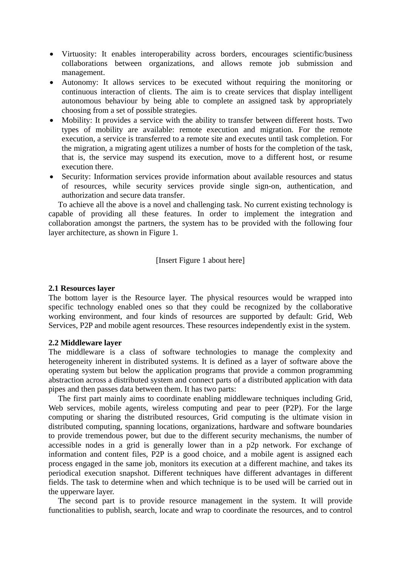- Virtuosity: It enables interoperability across borders, encourages scientific/business collaborations between organizations, and allows remote job submission and management.
- Autonomy: It allows services to be executed without requiring the monitoring or continuous interaction of clients. The aim is to create services that display intelligent autonomous behaviour by being able to complete an assigned task by appropriately choosing from a set of possible strategies.
- Mobility: It provides a service with the ability to transfer between different hosts. Two types of mobility are available: remote execution and migration. For the remote execution, a service is transferred to a remote site and executes until task completion. For the migration, a migrating agent utilizes a number of hosts for the completion of the task, that is, the service may suspend its execution, move to a different host, or resume execution there.
- Security: Information services provide information about available resources and status of resources, while security services provide single sign-on, authentication, and authorization and secure data transfer.

To achieve all the above is a novel and challenging task. No current existing technology is capable of providing all these features. In order to implement the integration and collaboration amongst the partners, the system has to be provided with the following four layer architecture, as shown in Figure 1.

[Insert Figure 1 about here]

### **2.1 Resources layer**

The bottom layer is the Resource layer. The physical resources would be wrapped into specific technology enabled ones so that they could be recognized by the collaborative working environment, and four kinds of resources are supported by default: Grid, Web Services, P2P and mobile agent resources. These resources independently exist in the system.

#### **2.2 Middleware layer**

The middleware is a class of software technologies to manage the complexity and heterogeneity inherent in distributed systems. It is defined as a layer of software above the operating system but below the application programs that provide a common programming abstraction across a distributed system and connect parts of a distributed application with data pipes and then passes data between them. It has two parts:

The first part mainly aims to coordinate enabling middleware techniques including Grid, Web services, mobile agents, wireless computing and pear to peer (P2P). For the large computing or sharing the distributed resources, Grid computing is the ultimate vision in distributed computing, spanning locations, organizations, hardware and software boundaries to provide tremendous power, but due to the different security mechanisms, the number of accessible nodes in a grid is generally lower than in a p2p network. For exchange of information and content files, P2P is a good choice, and a mobile agent is assigned each process engaged in the same job, monitors its execution at a different machine, and takes its periodical execution snapshot. Different techniques have different advantages in different fields. The task to determine when and which technique is to be used will be carried out in the upperware layer.

The second part is to provide resource management in the system. It will provide functionalities to publish, search, locate and wrap to coordinate the resources, and to control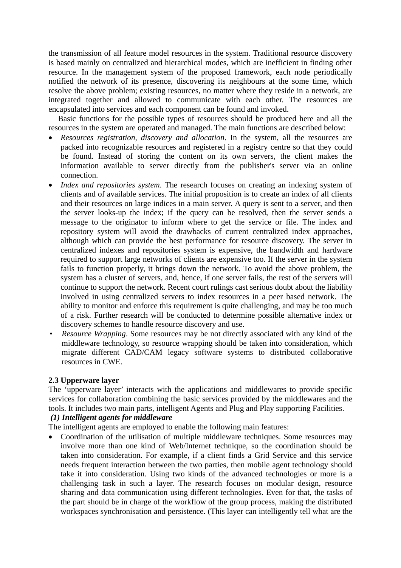the transmission of all feature model resources in the system. Traditional resource discovery is based mainly on centralized and hierarchical modes, which are inefficient in finding other resource. In the management system of the proposed framework, each node periodically notified the network of its presence, discovering its neighbours at the some time, which resolve the above problem; existing resources, no matter where they reside in a network, are integrated together and allowed to communicate with each other. The resources are encapsulated into services and each component can be found and invoked.

Basic functions for the possible types of resources should be produced here and all the resources in the system are operated and managed. The main functions are described below:

- *Resources registration, discovery and allocation*. In the system, all the resources are packed into recognizable resources and registered in a registry centre so that they could be found. Instead of storing the content on its own servers, the client makes the information available to server directly from the publisher's server via an online connection.
- *Index and repositories system*. The research focuses on creating an indexing system of clients and of available services. The initial proposition is to create an index of all clients and their resources on large indices in a main server. A query is sent to a server, and then the server looks-up the index; if the query can be resolved, then the server sends a message to the originator to inform where to get the service or file. The index and repository system will avoid the drawbacks of current centralized index approaches, although which can provide the best performance for resource discovery. The server in centralized indexes and repositories system is expensive, the bandwidth and hardware required to support large networks of clients are expensive too. If the server in the system fails to function properly, it brings down the network. To avoid the above problem, the system has a cluster of servers, and, hence, if one server fails, the rest of the servers will continue to support the network. Recent court rulings cast serious doubt about the liability involved in using centralized servers to index resources in a peer based network. The ability to monitor and enforce this requirement is quite challenging, and may be too much of a risk. Further research will be conducted to determine possible alternative index or discovery schemes to handle resource discovery and use.
- *Resource Wrapping*. Some resources may be not directly associated with any kind of the middleware technology, so resource wrapping should be taken into consideration, which migrate different CAD/CAM legacy software systems to distributed collaborative resources in CWE.

### **2.3 Upperware layer**

The 'upperware layer' interacts with the applications and middlewares to provide specific services for collaboration combining the basic services provided by the middlewares and the tools. It includes two main parts, intelligent Agents and Plug and Play supporting Facilities.

### *(1) Intelligent agents for middleware*

The intelligent agents are employed to enable the following main features:

• Coordination of the utilisation of multiple middleware techniques. Some resources may involve more than one kind of Web/Internet technique, so the coordination should be taken into consideration. For example, if a client finds a Grid Service and this service needs frequent interaction between the two parties, then mobile agent technology should take it into consideration. Using two kinds of the advanced technologies or more is a challenging task in such a layer. The research focuses on modular design, resource sharing and data communication using different technologies. Even for that, the tasks of the part should be in charge of the workflow of the group process, making the distributed workspaces synchronisation and persistence. (This layer can intelligently tell what are the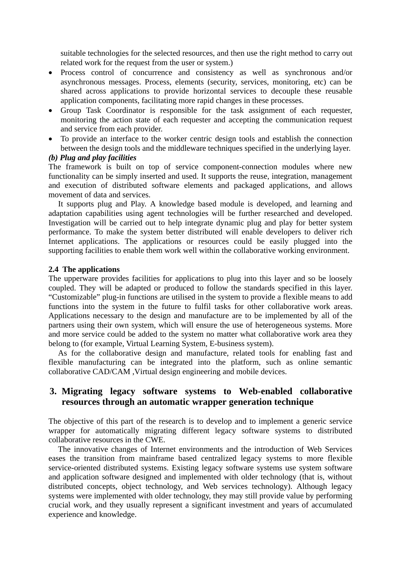suitable technologies for the selected resources, and then use the right method to carry out related work for the request from the user or system.)

- Process control of concurrence and consistency as well as synchronous and/or asynchronous messages. Process, elements (security, services, monitoring, etc) can be shared across applications to provide horizontal services to decouple these reusable application components, facilitating more rapid changes in these processes.
- Group Task Coordinator is responsible for the task assignment of each requester, monitoring the action state of each requester and accepting the communication request and service from each provider.
- To provide an interface to the worker centric design tools and establish the connection between the design tools and the middleware techniques specified in the underlying layer.

## *(b) Plug and play facilities*

The framework is built on top of service component-connection modules where new functionality can be simply inserted and used. It supports the reuse, integration, management and execution of distributed software elements and packaged applications, and allows movement of data and services.

It supports plug and Play. A knowledge based module is developed, and learning and adaptation capabilities using agent technologies will be further researched and developed. Investigation will be carried out to help integrate dynamic plug and play for better system performance. To make the system better distributed will enable developers to deliver rich Internet applications. The applications or resources could be easily plugged into the supporting facilities to enable them work well within the collaborative working environment.

#### **2.4 The applications**

The upperware provides facilities for applications to plug into this layer and so be loosely coupled. They will be adapted or produced to follow the standards specified in this layer. "Customizable" plug-in functions are utilised in the system to provide a flexible means to add functions into the system in the future to fulfil tasks for other collaborative work areas. Applications necessary to the design and manufacture are to be implemented by all of the partners using their own system, which will ensure the use of heterogeneous systems. More and more service could be added to the system no matter what collaborative work area they belong to (for example, Virtual Learning System, E-business system).

As for the collaborative design and manufacture, related tools for enabling fast and flexible manufacturing can be integrated into the platform, such as online semantic collaborative CAD/CAM ,Virtual design engineering and mobile devices.

## **3. Migrating legacy software systems to Web-enabled collaborative resources through an automatic wrapper generation technique**

The objective of this part of the research is to develop and to implement a generic service wrapper for automatically migrating different legacy software systems to distributed collaborative resources in the CWE.

The innovative changes of Internet environments and the introduction of Web Services eases the transition from mainframe based centralized legacy systems to more flexible service-oriented distributed systems. Existing legacy software systems use system software and application software designed and implemented with older technology (that is, without distributed concepts, object technology, and Web services technology). Although legacy systems were implemented with older technology, they may still provide value by performing crucial work, and they usually represent a significant investment and years of accumulated experience and knowledge.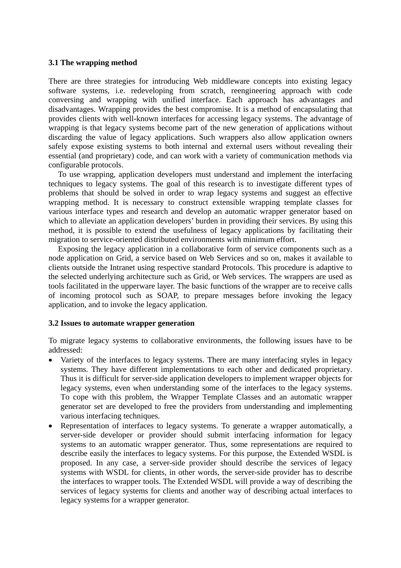#### **3.1 The wrapping method**

There are three strategies for introducing Web middleware concepts into existing legacy software systems, i.e. redeveloping from scratch, reengineering approach with code conversing and wrapping with unified interface. Each approach has advantages and disadvantages. Wrapping provides the best compromise. It is a method of encapsulating that provides clients with well-known interfaces for accessing legacy systems. The advantage of wrapping is that legacy systems become part of the new generation of applications without discarding the value of legacy applications. Such wrappers also allow application owners safely expose existing systems to both internal and external users without revealing their essential (and proprietary) code, and can work with a variety of communication methods via configurable protocols.

To use wrapping, application developers must understand and implement the interfacing techniques to legacy systems. The goal of this research is to investigate different types of problems that should be solved in order to wrap legacy systems and suggest an effective wrapping method. It is necessary to construct extensible wrapping template classes for various interface types and research and develop an automatic wrapper generator based on which to alleviate an application developers' burden in providing their services. By using this method, it is possible to extend the usefulness of legacy applications by facilitating their migration to service-oriented distributed environments with minimum effort.

Exposing the legacy application in a collaborative form of service components such as a node application on Grid, a service based on Web Services and so on, makes it available to clients outside the Intranet using respective standard Protocols. This procedure is adaptive to the selected underlying architecture such as Grid, or Web services. The wrappers are used as tools facilitated in the upperware layer. The basic functions of the wrapper are to receive calls of incoming protocol such as SOAP, to prepare messages before invoking the legacy application, and to invoke the legacy application.

### **3.2 Issues to automate wrapper generation**

To migrate legacy systems to collaborative environments, the following issues have to be addressed:

- Variety of the interfaces to legacy systems. There are many interfacing styles in legacy systems. They have different implementations to each other and dedicated proprietary. Thus it is difficult for server-side application developers to implement wrapper objects for legacy systems, even when understanding some of the interfaces to the legacy systems. To cope with this problem, the Wrapper Template Classes and an automatic wrapper generator set are developed to free the providers from understanding and implementing various interfacing techniques.
- Representation of interfaces to legacy systems. To generate a wrapper automatically, a server-side developer or provider should submit interfacing information for legacy systems to an automatic wrapper generator. Thus, some representations are required to describe easily the interfaces to legacy systems. For this purpose, the Extended WSDL is proposed. In any case, a server-side provider should describe the services of legacy systems with WSDL for clients, in other words, the server-side provider has to describe the interfaces to wrapper tools. The Extended WSDL will provide a way of describing the services of legacy systems for clients and another way of describing actual interfaces to legacy systems for a wrapper generator.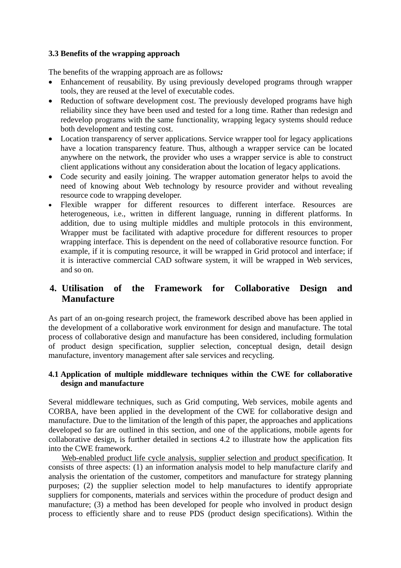## **3.3 Benefits of the wrapping approach**

The benefits of the wrapping approach are as follows*:* 

- Enhancement of reusability. By using previously developed programs through wrapper tools, they are reused at the level of executable codes.
- Reduction of software development cost. The previously developed programs have high reliability since they have been used and tested for a long time. Rather than redesign and redevelop programs with the same functionality, wrapping legacy systems should reduce both development and testing cost.
- Location transparency of server applications. Service wrapper tool for legacy applications have a location transparency feature. Thus, although a wrapper service can be located anywhere on the network, the provider who uses a wrapper service is able to construct client applications without any consideration about the location of legacy applications.
- Code security and easily joining. The wrapper automation generator helps to avoid the need of knowing about Web technology by resource provider and without revealing resource code to wrapping developer.
- Flexible wrapper for different resources to different interface. Resources are heterogeneous, i.e., written in different language, running in different platforms. In addition, due to using multiple middles and multiple protocols in this environment, Wrapper must be facilitated with adaptive procedure for different resources to proper wrapping interface. This is dependent on the need of collaborative resource function. For example, if it is computing resource, it will be wrapped in Grid protocol and interface; if it is interactive commercial CAD software system, it will be wrapped in Web services, and so on.

## **4. Utilisation of the Framework for Collaborative Design and Manufacture**

As part of an on-going research project, the framework described above has been applied in the development of a collaborative work environment for design and manufacture. The total process of collaborative design and manufacture has been considered, including formulation of product design specification, supplier selection, conceptual design, detail design manufacture, inventory management after sale services and recycling.

## **4.1 Application of multiple middleware techniques within the CWE for collaborative design and manufacture**

Several middleware techniques, such as Grid computing, Web services, mobile agents and CORBA, have been applied in the development of the CWE for collaborative design and manufacture. Due to the limitation of the length of this paper, the approaches and applications developed so far are outlined in this section, and one of the applications, mobile agents for collaborative design, is further detailed in sections 4.2 to illustrate how the application fits into the CWE framework.

Web-enabled product life cycle analysis, supplier selection and product specification. It consists of three aspects: (1) an information analysis model to help manufacture clarify and analysis the orientation of the customer, competitors and manufacture for strategy planning purposes; (2) the supplier selection model to help manufactures to identify appropriate suppliers for components, materials and services within the procedure of product design and manufacture; (3) a method has been developed for people who involved in product design process to efficiently share and to reuse PDS (product design specifications). Within the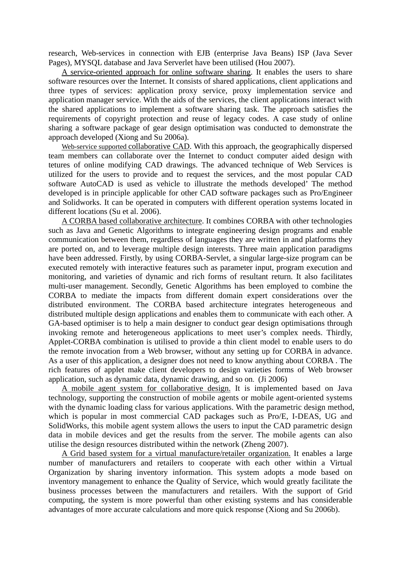research, Web-services in connection with EJB (enterprise Java Beans) ISP (Java Sever Pages), MYSQL database and Java Serverlet have been utilised (Hou 2007).

A service-oriented approach for online software sharing. It enables the users to share software resources over the Internet. It consists of shared applications, client applications and three types of services: application proxy service, proxy implementation service and application manager service. With the aids of the services, the client applications interact with the shared applications to implement a software sharing task. The approach satisfies the requirements of copyright protection and reuse of legacy codes. A case study of online sharing a software package of gear design optimisation was conducted to demonstrate the approach developed (Xiong and Su 2006a).

Web-service supported collaborative CAD. With this approach, the geographically dispersed team members can collaborate over the Internet to conduct computer aided design with tetures of online modifying CAD drawings. The advanced technique of Web Services is utilized for the users to provide and to request the services, and the most popular CAD software AutoCAD is used as vehicle to illustrate the methods developed' The method developed is in principle applicable for other CAD software packages such as Pro/Engineer and Solidworks. It can be operated in computers with different operation systems located in different locations (Su et al. 2006).

A CORBA based collaborative architecture. It combines CORBA with other technologies such as Java and Genetic Algorithms to integrate engineering design programs and enable communication between them, regardless of languages they are written in and platforms they are ported on, and to leverage multiple design interests. Three main application paradigms have been addressed. Firstly, by using CORBA-Servlet, a singular large-size program can be executed remotely with interactive features such as parameter input, program execution and monitoring, and varieties of dynamic and rich forms of resultant return. It also facilitates multi-user management. Secondly, Genetic Algorithms has been employed to combine the CORBA to mediate the impacts from different domain expert considerations over the distributed environment. The CORBA based architecture integrates heterogeneous and distributed multiple design applications and enables them to communicate with each other. A GA-based optimiser is to help a main designer to conduct gear design optimisations through invoking remote and heterogeneous applications to meet user's complex needs. Thirdly, Applet-CORBA combination is utilised to provide a thin client model to enable users to do the remote invocation from a Web browser, without any setting up for CORBA in advance. As a user of this application, a designer does not need to know anything about CORBA . The rich features of applet make client developers to design varieties forms of Web browser application, such as dynamic data, dynamic drawing, and so on. (Ji 2006)

A mobile agent system for collaborative design. It is implemented based on Java technology, supporting the construction of mobile agents or mobile agent-oriented systems with the dynamic loading class for various applications. With the parametric design method, which is popular in most commercial CAD packages such as Pro/E, I-DEAS, UG and SolidWorks, this mobile agent system allows the users to input the CAD parametric design data in mobile devices and get the results from the server. The mobile agents can also utilise the design resources distributed within the network (Zheng 2007).

A Grid based system for a virtual manufacture/retailer organization. It enables a large number of manufacturers and retailers to cooperate with each other within a Virtual Organization by sharing inventory information. This system adopts a mode based on inventory management to enhance the Quality of Service, which would greatly facilitate the business processes between the manufacturers and retailers. With the support of Grid computing, the system is more powerful than other existing systems and has considerable advantages of more accurate calculations and more quick response (Xiong and Su 2006b).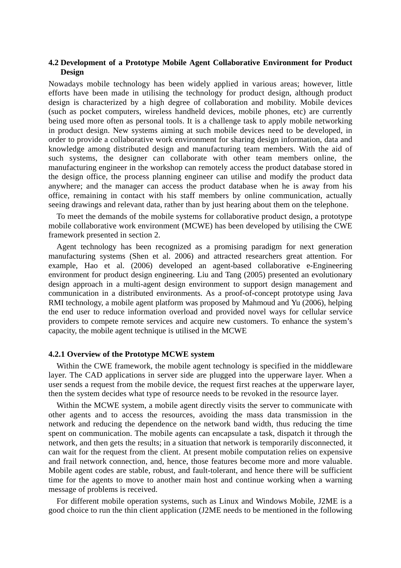### **4.2 Development of a Prototype Mobile Agent Collaborative Environment for Product Design**

Nowadays mobile technology has been widely applied in various areas; however, little efforts have been made in utilising the technology for product design, although product design is characterized by a high degree of collaboration and mobility. Mobile devices (such as pocket computers, wireless handheld devices, mobile phones, etc) are currently being used more often as personal tools. It is a challenge task to apply mobile networking in product design. New systems aiming at such mobile devices need to be developed, in order to provide a collaborative work environment for sharing design information, data and knowledge among distributed design and manufacturing team members. With the aid of such systems, the designer can collaborate with other team members online, the manufacturing engineer in the workshop can remotely access the product database stored in the design office, the process planning engineer can utilise and modify the product data anywhere; and the manager can access the product database when he is away from his office, remaining in contact with his staff members by online communication, actually seeing drawings and relevant data, rather than by just hearing about them on the telephone.

To meet the demands of the mobile systems for collaborative product design, a prototype mobile collaborative work environment (MCWE) has been developed by utilising the CWE framework presented in section 2.

Agent technology has been recognized as a promising paradigm for next generation manufacturing systems (Shen et al. 2006) and attracted researchers great attention. For example, Hao et al. (2006) developed an agent-based collaborative e-Engineering environment for product design engineering. Liu and Tang (2005) presented an evolutionary design approach in a multi-agent design environment to support design management and communication in a distributed environments. As a proof-of-concept prototype using Java RMI technology, a mobile agent platform was proposed by Mahmoud and Yu (2006), helping the end user to reduce information overload and provided novel ways for cellular service providers to compete remote services and acquire new customers. To enhance the system's capacity, the mobile agent technique is utilised in the MCWE

#### **4.2.1 Overview of the Prototype MCWE system**

Within the CWE framework, the mobile agent technology is specified in the middleware layer. The CAD applications in server side are plugged into the upperware layer. When a user sends a request from the mobile device, the request first reaches at the upperware layer, then the system decides what type of resource needs to be revoked in the resource layer.

Within the MCWE system, a mobile agent directly visits the server to communicate with other agents and to access the resources, avoiding the mass data transmission in the network and reducing the dependence on the network band width, thus reducing the time spent on communication. The mobile agents can encapsulate a task, dispatch it through the network, and then gets the results; in a situation that network is temporarily disconnected, it can wait for the request from the client. At present mobile computation relies on expensive and frail network connection, and, hence, those features become more and more valuable. Mobile agent codes are stable, robust, and fault-tolerant, and hence there will be sufficient time for the agents to move to another main host and continue working when a warning message of problems is received.

For different mobile operation systems, such as Linux and Windows Mobile, J2ME is a good choice to run the thin client application (J2ME needs to be mentioned in the following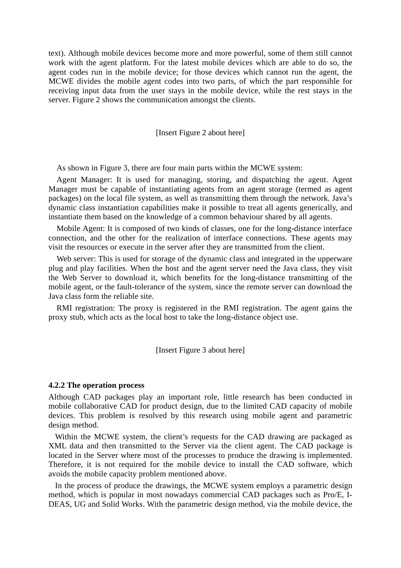text). Although mobile devices become more and more powerful, some of them still cannot work with the agent platform. For the latest mobile devices which are able to do so, the agent codes run in the mobile device; for those devices which cannot run the agent, the MCWE divides the mobile agent codes into two parts, of which the part responsible for receiving input data from the user stays in the mobile device, while the rest stays in the server. Figure 2 shows the communication amongst the clients.

[Insert Figure 2 about here]

As shown in Figure 3, there are four main parts within the MCWE system:

Agent Manager: It is used for managing, storing, and dispatching the agent. Agent Manager must be capable of instantiating agents from an agent storage (termed as agent packages) on the local file system, as well as transmitting them through the network. Java's dynamic class instantiation capabilities make it possible to treat all agents generically, and instantiate them based on the knowledge of a common behaviour shared by all agents.

Mobile Agent: It is composed of two kinds of classes, one for the long-distance interface connection, and the other for the realization of interface connections. These agents may visit the resources or execute in the server after they are transmitted from the client.

Web server: This is used for storage of the dynamic class and integrated in the upperware plug and play facilities. When the host and the agent server need the Java class, they visit the Web Server to download it, which benefits for the long-distance transmitting of the mobile agent, or the fault-tolerance of the system, since the remote server can download the Java class form the reliable site.

RMI registration: The proxy is registered in the RMI registration. The agent gains the proxy stub, which acts as the local host to take the long-distance object use.

[Insert Figure 3 about here]

#### **4.2.2 The operation process**

Although CAD packages play an important role, little research has been conducted in mobile collaborative CAD for product design, due to the limited CAD capacity of mobile devices. This problem is resolved by this research using mobile agent and parametric design method.

Within the MCWE system, the client's requests for the CAD drawing are packaged as XML data and then transmitted to the Server via the client agent. The CAD package is located in the Server where most of the processes to produce the drawing is implemented. Therefore, it is not required for the mobile device to install the CAD software, which avoids the mobile capacity problem mentioned above.

In the process of produce the drawings, the MCWE system employs a parametric design method, which is popular in most nowadays commercial CAD packages such as Pro/E, I-DEAS, UG and Solid Works. With the parametric design method, via the mobile device, the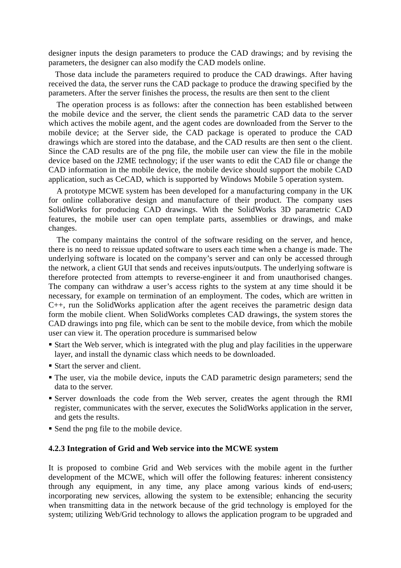designer inputs the design parameters to produce the CAD drawings; and by revising the parameters, the designer can also modify the CAD models online.

Those data include the parameters required to produce the CAD drawings. After having received the data, the server runs the CAD package to produce the drawing specified by the parameters. After the server finishes the process, the results are then sent to the client

The operation process is as follows: after the connection has been established between the mobile device and the server, the client sends the parametric CAD data to the server which actives the mobile agent, and the agent codes are downloaded from the Server to the mobile device; at the Server side, the CAD package is operated to produce the CAD drawings which are stored into the database, and the CAD results are then sent o the client. Since the CAD results are of the png file, the mobile user can view the file in the mobile device based on the J2ME technology; if the user wants to edit the CAD file or change the CAD information in the mobile device, the mobile device should support the mobile CAD application, such as CeCAD, which is supported by Windows Mobile 5 operation system.

A prototype MCWE system has been developed for a manufacturing company in the UK for online collaborative design and manufacture of their product. The company uses SolidWorks for producing CAD drawings. With the SolidWorks 3D parametric CAD features, the mobile user can open template parts, assemblies or drawings, and make changes.

The company maintains the control of the software residing on the server, and hence, there is no need to reissue updated software to users each time when a change is made. The underlying software is located on the company's server and can only be accessed through the network, a client GUI that sends and receives inputs/outputs. The underlying software is therefore protected from attempts to reverse-engineer it and from unauthorised changes. The company can withdraw a user's access rights to the system at any time should it be necessary, for example on termination of an employment. The codes, which are written in C++, run the SolidWorks application after the agent receives the parametric design data form the mobile client. When SolidWorks completes CAD drawings, the system stores the CAD drawings into png file, which can be sent to the mobile device, from which the mobile user can view it. The operation procedure is summarised below

- Start the Web server, which is integrated with the plug and play facilities in the upperware layer, and install the dynamic class which needs to be downloaded.
- Start the server and client.
- The user, via the mobile device, inputs the CAD parametric design parameters; send the data to the server.
- Server downloads the code from the Web server, creates the agent through the RMI register, communicates with the server, executes the SolidWorks application in the server, and gets the results.
- Send the png file to the mobile device.

#### **4.2.3 Integration of Grid and Web service into the MCWE system**

It is proposed to combine Grid and Web services with the mobile agent in the further development of the MCWE, which will offer the following features: inherent consistency through any equipment, in any time, any place among various kinds of end-users; incorporating new services, allowing the system to be extensible; enhancing the security when transmitting data in the network because of the grid technology is employed for the system; utilizing Web/Grid technology to allows the application program to be upgraded and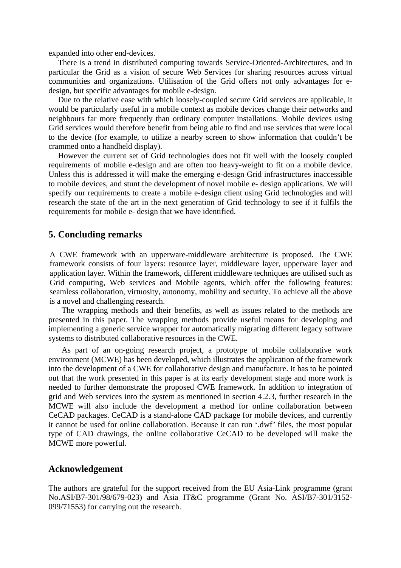expanded into other end-devices.

There is a trend in distributed computing towards Service-Oriented-Architectures, and in particular the Grid as a vision of secure Web Services for sharing resources across virtual communities and organizations. Utilisation of the Grid offers not only advantages for edesign, but specific advantages for mobile e-design.

Due to the relative ease with which loosely-coupled secure Grid services are applicable, it would be particularly useful in a mobile context as mobile devices change their networks and neighbours far more frequently than ordinary computer installations. Mobile devices using Grid services would therefore benefit from being able to find and use services that were local to the device (for example, to utilize a nearby screen to show information that couldn't be crammed onto a handheld display).

However the current set of Grid technologies does not fit well with the loosely coupled requirements of mobile e-design and are often too heavy-weight to fit on a mobile device. Unless this is addressed it will make the emerging e-design Grid infrastructures inaccessible to mobile devices, and stunt the development of novel mobile e- design applications. We will specify our requirements to create a mobile e-design client using Grid technologies and will research the state of the art in the next generation of Grid technology to see if it fulfils the requirements for mobile e- design that we have identified.

### **5. Concluding remarks**

A CWE framework with an upperware-middleware architecture is proposed. The CWE framework consists of four layers: resource layer, middleware layer, upperware layer and application layer. Within the framework, different middleware techniques are utilised such as Grid computing, Web services and Mobile agents, which offer the following features: seamless collaboration, virtuosity, autonomy, mobility and security. To achieve all the above is a novel and challenging research.

The wrapping methods and their benefits, as well as issues related to the methods are presented in this paper. The wrapping methods provide useful means for developing and implementing a generic service wrapper for automatically migrating different legacy software systems to distributed collaborative resources in the CWE.

As part of an on-going research project, a prototype of mobile collaborative work environment (MCWE) has been developed, which illustrates the application of the framework into the development of a CWE for collaborative design and manufacture. It has to be pointed out that the work presented in this paper is at its early development stage and more work is needed to further demonstrate the proposed CWE framework. In addition to integration of grid and Web services into the system as mentioned in section 4.2.3, further research in the MCWE will also include the development a method for online collaboration between CeCAD packages. CeCAD is a stand-alone CAD package for mobile devices, and currently it cannot be used for online collaboration. Because it can run '.dwf' files, the most popular type of CAD drawings, the online collaborative CeCAD to be developed will make the MCWE more powerful.

### **Acknowledgement**

The authors are grateful for the support received from the EU Asia-Link programme (grant No.ASI/B7-301/98/679-023) and Asia IT&C programme (Grant No. ASI/B7-301/3152- 099/71553) for carrying out the research.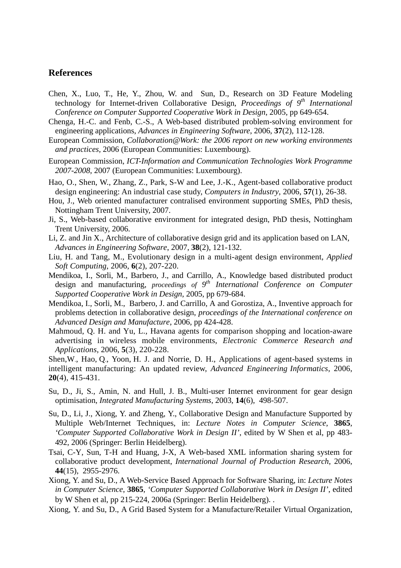### **References**

- Chen, X., Luo, T., He, Y., Zhou, W. and Sun, D., Research on 3D Feature Modeling technology for Internet-driven Collaborative Design, *Proceedings of 9th International Conference on Computer Supported Cooperative Work in Design*, 2005, pp 649-654.
- Chenga, H.-C. and Fenb, C.-S., A Web-based distributed problem-solving environment for engineering applications, *Advances in Engineering Software*, 2006, **37**(2), 112-128.
- European Commission, *Collaboration@Work: the 2006 report on new working environments and practices,* 2006 (European Communities: Luxembourg).
- European Commission, *ICT-Information and Communication Technologies Work Programme 2007-2008*, 2007 (European Communities: Luxembourg).
- Hao, O., Shen, W., Zhang, Z., Park, S-W and Lee, J.-K., Agent-based collaborative product design engineering: An industrial case study, *Computers in Industry*, 2006, **57**(1), 26-38.
- Hou, J., Web oriented manufacturer contralised environment supporting SMEs, PhD thesis, Nottingham Trent University, 2007.
- Ji, S., Web-based collaborative environment for integrated design, PhD thesis, Nottingham Trent University, 2006.
- Li, Z. and Jin X., Architecture of collaborative design grid and its application based on LAN, *Advances in Engineering Software*, 2007, **38**(2), 121-132.
- Liu, H. and Tang, M., Evolutionary design in a multi-agent design environment, *Applied Soft Computing*, 2006, **6**(2), 207-220.
- Mendikoa, I., Sorli, M., Barbero, J., and Carrillo, A., Knowledge based distributed product design and manufacturing, *proceedings of*  $9<sup>th</sup> International Conference on Computer$ *Supported Cooperative Work in Design*, 2005, pp 679-684.
- Mendikoa, I., Sorli, M., Barbero, J. and Carrillo, A and Gorostiza, A., Inventive approach for problems detection in collaborative design, *proceedings of the International conference on Advanced Design and Manufacture*, 2006, pp 424-428.
- Mahmoud, Q. H. and Yu, L., Havana agents for comparison shopping and location-aware advertising in wireless mobile environments, *Electronic Commerce Research and Applications*, 2006, **5**(3), 220-228.
- Shen,W., Hao, Q., Yoon, H. J. and Norrie, D. H., Applications of agent-based systems in intelligent manufacturing: An updated review, *Advanced Engineering Informatics*, 2006, **20**(4), 415-431.
- Su, D., Ji, S., Amin, N. and Hull, J. B., Multi-user Internet environment for gear design optimisation, *Integrated Manufacturing Systems*, 2003, **14**(6), 498-507.
- Su, D., Li, J., Xiong, Y. and Zheng, Y., Collaborative Design and Manufacture Supported by Multiple Web/Internet Techniques, in: *Lecture Notes in Computer Science*, **3865**, *'Computer Supported Collaborative Work in Design II'*, edited by W Shen et al, pp 483- 492, 2006 (Springer: Berlin Heidelberg).
- Tsai, C-Y, Sun, T-H and Huang, J-X, A Web-based XML information sharing system for collaborative product development, *International Journal of Production Research*, 2006, **44**(15), 2955-2976.
- Xiong, Y. and Su, D., A Web-Service Based Approach for Software Sharing, in: *Lecture Notes in Computer Science*, **3865**, *'Computer Supported Collaborative Work in Design II'*, edited by W Shen et al, pp 215-224, 2006a (Springer: Berlin Heidelberg)..
- Xiong, Y. and Su, D., A Grid Based System for a Manufacture/Retailer Virtual Organization,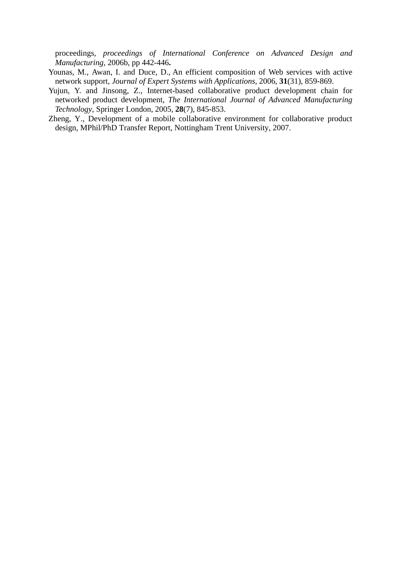proceedings, *proceedings of International Conference on Advanced Design and Manufacturing*, 2006b, pp 442-446**.** 

- Younas, M., Awan, I. and Duce, D., An efficient composition of Web services with active network support, *Journal of Expert Systems with Applications*, 2006, **31**(31), 859-869.
- Yujun, Y. and Jinsong, Z., Internet-based collaborative product development chain for networked product development, *The International Journal of Advanced Manufacturing Technology*, Springer London, 2005, **28**(7), 845-853.
- Zheng, Y., Development of a mobile collaborative environment for collaborative product design, MPhil/PhD Transfer Report, Nottingham Trent University, 2007.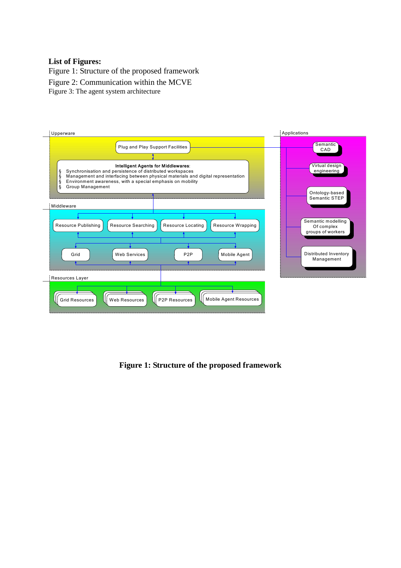### **List of Figures:**

Figure 1: Structure of the proposed framework

Figure 2: Communication within the MCVE

Figure 3: The agent system architecture

| Upperware                                                                                                                                                                                                                                                         | Applications                                          |
|-------------------------------------------------------------------------------------------------------------------------------------------------------------------------------------------------------------------------------------------------------------------|-------------------------------------------------------|
| Plug and Play Support Facilities                                                                                                                                                                                                                                  | Semantic<br>CAD                                       |
| Intelligent Agents for Middlewares:<br>Synchronisation and persistence of distributed workspaces<br>§<br>§<br>Management and interfacing between physical materials and digital representation<br>ş<br>Environment awareness, with a special emphasis on mobility | Virtual design<br>engineering                         |
| ş<br><b>Group Management</b><br>Middleware                                                                                                                                                                                                                        | Ontology-based<br>Semantic STEP                       |
| Resource Publishing<br>Resource Searching<br>Resource Locating<br>Resource Wrapping                                                                                                                                                                               | Semantic modelling<br>Of complex<br>groups of workers |
| <b>Web Services</b><br>Mobile Agent<br>Grid<br>P <sub>2</sub> P                                                                                                                                                                                                   | Distributed Inventory<br>Management                   |
| Resources Layer<br><b>Mobile Agent Resources</b><br><b>Grid Resources</b><br>Web Resources<br><b>P2P Resources</b>                                                                                                                                                |                                                       |

**Figure 1: Structure of the proposed framework**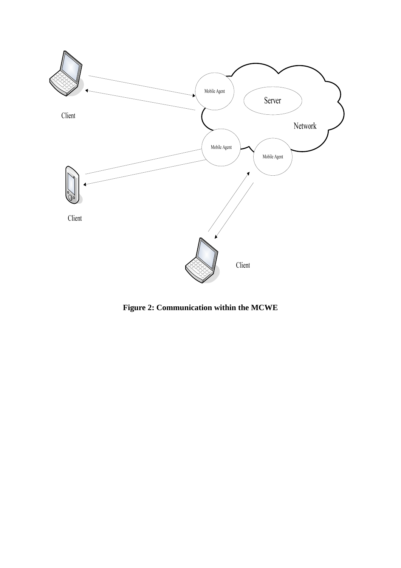

**Figure 2: Communication within the MCWE**